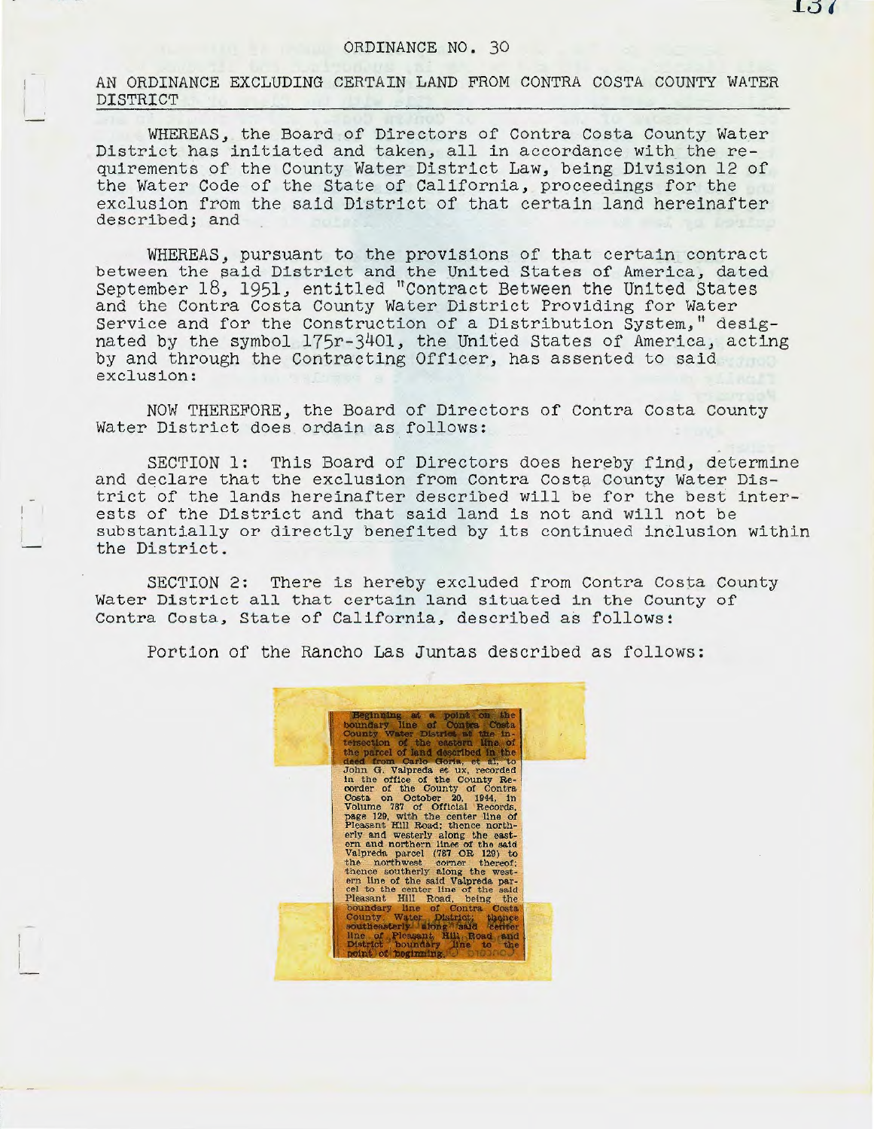## ORDINANCE NO. 30

AN ORDINANCE EXCLUDING CERTAIN LAND FROM CONTRA COSTA COUNTY WATER DISTRICT

WHEREAS, the Board of Directors of Contra Costa County Water District has initiated and taken, all in accordance with the requirements of the County Water District Law, being Division 12 of the Water Code of the State of California, proceedings for the exclusion from the said District of that certain land hereinafter described; and

WHEREAS, pursuant to the provisions of that certain contract between the said District and the United States of America, dated September 18, 1951, entitled "Contract Between the United States and the Contra Costa County Water District Providing for Water Service and for the Construction of a Distribution System," designated by the symbol 175r-3401, the United States of America, acting by and through the Contracting Officer, has assented to said exclusion:

NOW THEREFORE, the Board of Directors of Contra Costa County Water District does ordain as follows:

SECTION 1: This Board of Directors does hereby find, determine and declare that the exclusion from Contra Costa County Water District of the lands hereinafter described will be for the best interests of the District and that said land is not and will not be substantially or directly benefited by its continued inclusion within the District.

SECTION 2: There is hereby excluded from Contra Costa County Water District all that certain land situated in the County or Contra Costa, State of California, described as follows:

Portion of the Rancho Las Juntas described as follows: